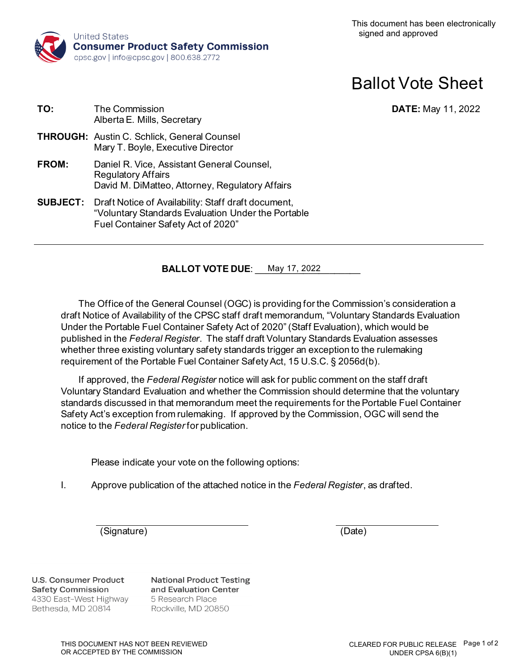

# Ballot Vote Sheet

**DATE:** May 11, 2022

| TO:          | <b>The Commission</b><br>Alberta E. Mills, Secretary                                                                                                            |
|--------------|-----------------------------------------------------------------------------------------------------------------------------------------------------------------|
|              | <b>THROUGH:</b> Austin C. Schlick, General Counsel<br>Mary T. Boyle, Executive Director                                                                         |
| <b>FROM:</b> | Daniel R. Vice, Assistant General Counsel,<br><b>Regulatory Affairs</b><br>David M. DiMatteo, Attorney, Regulatory Affairs                                      |
|              | <b>SUBJECT:</b> Draft Notice of Availability: Staff draft document,<br>"Voluntary Standards Evaluation Under the Portable<br>Fuel Container Safety Act of 2020" |

**BALLOT VOTE DUE**: <u>May 17, 2022</u>

The Office of the General Counsel (OGC) is providing for the Commission's consideration a draft Notice of Availability of the CPSC staff draft memorandum, "Voluntary Standards Evaluation Under the Portable Fuel Container Safety Act of 2020" (Staff Evaluation), which would be published in the *Federal Register*. The staff draft Voluntary Standards Evaluation assesses whether three existing voluntary safety standards trigger an exception to the rulemaking requirement of the Portable Fuel Container Safety Act, 15 U.S.C. § 2056d(b).

If approved, the *Federal Register* notice will ask for public comment on the staff draft Voluntary Standard Evaluation and whether the Commission should determine that the voluntary standards discussed in that memorandum meet the requirements for the Portable Fuel Container Safety Act's exception from rulemaking. If approved by the Commission, OGC will send the notice to the *Federal Register* for publication.

Please indicate your vote on the following options:

I. Approve publication of the attached notice in the *Federal Register*, as drafted.

(Signature) (Date)

**U.S. Consumer Product Safety Commission** 4330 East-West Highway Bethesda, MD 20814

**National Product Testing** and Evaluation Center 5 Research Place Rockville, MD 20850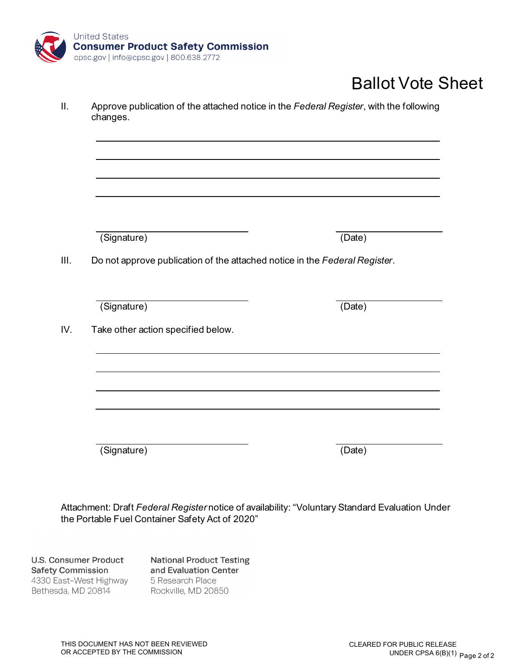

# Ballot Vote Sheet

| (Signature)                                                                | (Date)              |
|----------------------------------------------------------------------------|---------------------|
| Do not approve publication of the attached notice in the Federal Register. |                     |
| (Signature)                                                                | $(\overline{Date})$ |
| Take other action specified below.                                         |                     |
|                                                                            |                     |
|                                                                            |                     |

Attachment: Draft *Federal Register* notice of availability: "Voluntary Standard Evaluation Under the Portable Fuel Container Safety Act of 2020"

**U.S. Consumer Product Safety Commission** 4330 East-West Highway Bethesda, MD 20814

**National Product Testing** and Evaluation Center 5 Research Place Rockville, MD 20850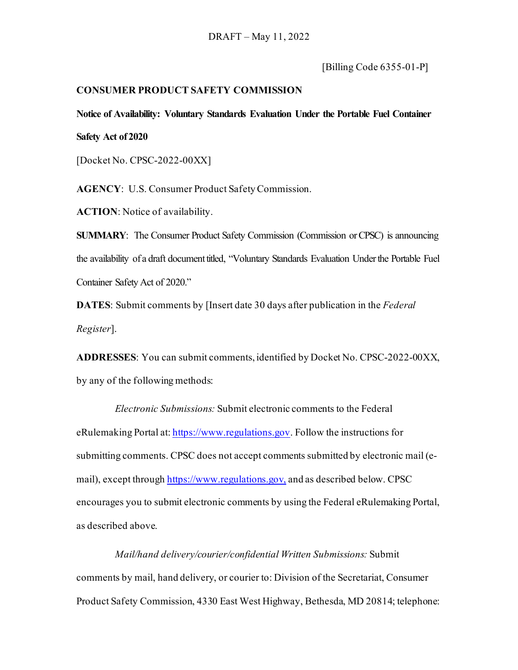[Billing Code 6355-01-P]

### **CONSUMER PRODUCT SAFETY COMMISSION**

**Notice of Availability: Voluntary Standards Evaluation Under the Portable Fuel Container Safety Act of 2020**

[Docket No. CPSC-2022-00XX]

**AGENCY**: U.S. Consumer Product Safety Commission.

**ACTION**: Notice of availability.

**SUMMARY**: The Consumer Product Safety Commission (Commission or CPSC) is announcing the availability of a draft document titled, "Voluntary Standards Evaluation Under the Portable Fuel Container Safety Act of 2020."

**DATES**: Submit comments by [Insert date 30 days after publication in the *Federal Register*].

**ADDRESSES**: You can submit comments, identified by Docket No. CPSC-2022-00XX, by any of the following methods:

*Electronic Submissions:* Submit electronic comments to the Federal eRulemaking Portal at: [https://www.regulations.gov](https://www.regulations.gov/). Follow the instructions for submitting comments. CPSC does not accept comments submitted by electronic mail (email), except through [https://www.regulations.gov](https://www.regulations.gov/), and as described below. CPSC encourages you to submit electronic comments by using the Federal eRulemaking Portal, as described above.

*Mail/hand delivery/courier/confidential Written Submissions:* Submit comments by mail, hand delivery, or courier to: Division of the Secretariat, Consumer Product Safety Commission, 4330 East West Highway, Bethesda, MD 20814; telephone: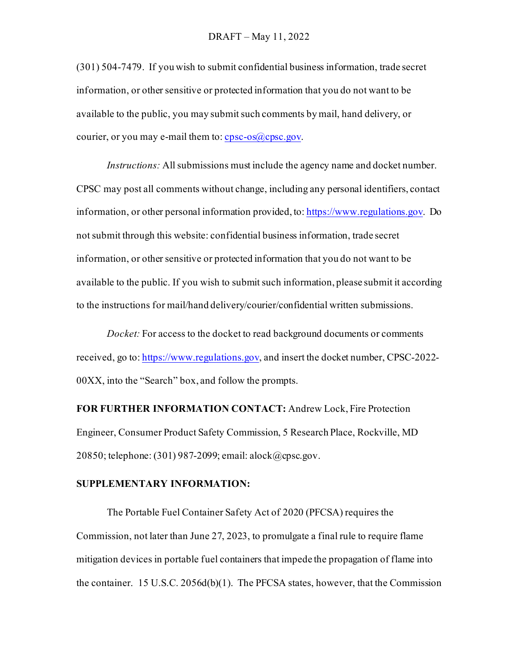(301) 504-7479. If you wish to submit confidential business information, trade secret information, or other sensitive or protected information that you do not want to be available to the public, you may submit such comments by mail, hand delivery, or courier, or you may e-mail them to:  $cpc-os(a)cpcc.gov$ .

*Instructions:* All submissions must include the agency name and docket number. CPSC may post all comments without change, including any personal identifiers, contact information, or other personal information provided, to[: https://www.regulations.gov](https://www.regulations.gov/). Do not submit through this website: confidential business information, trade secret information, or other sensitive or protected information that you do not want to be available to the public. If you wish to submit such information, please submit it according to the instructions for mail/hand delivery/courier/confidential written submissions.

*Docket:* For access to the docket to read background documents or comments received, go to: [https://www.regulations.gov](https://www.regulations.gov/), and insert the docket number, CPSC-2022-00XX, into the "Search" box, and follow the prompts.

**FOR FURTHER INFORMATION CONTACT:** Andrew Lock, Fire Protection Engineer, Consumer Product Safety Commission, 5 Research Place, Rockville, MD 20850; telephone: (301) 987-2099; email: alock@cpsc.gov.

## **SUPPLEMENTARY INFORMATION:**

The Portable Fuel Container Safety Act of 2020 (PFCSA) requires the Commission, not later than June 27, 2023, to promulgate a final rule to require flame mitigation devices in portable fuel containers that impede the propagation of flame into the container. 15 U.S.C. 2056d(b)(1). The PFCSA states, however, that the Commission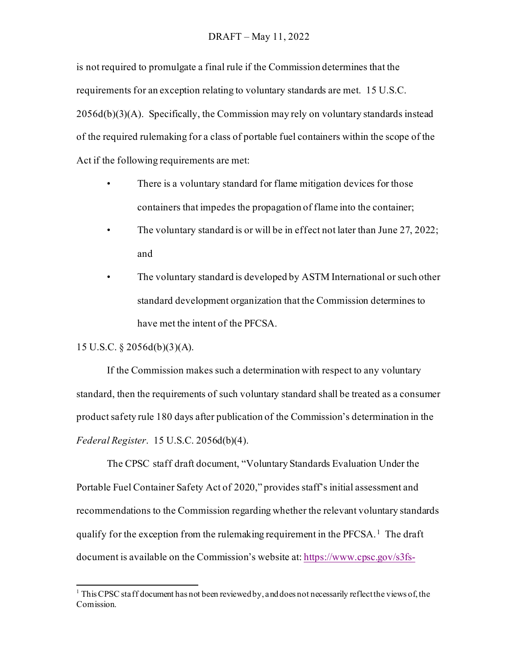#### DRAFT – May 11, 2022

is not required to promulgate a final rule if the Commission determines that the requirements for an exception relating to voluntary standards are met. 15 U.S.C.  $2056d(b)(3)(A)$ . Specifically, the Commission may rely on voluntary standards instead of the required rulemaking for a class of portable fuel containers within the scope of the Act if the following requirements are met:

- There is a voluntary standard for flame mitigation devices for those containers that impedes the propagation of flame into the container;
- The voluntary standard is or will be in effect not later than June 27, 2022; and
- The voluntary standard is developed by ASTM International or such other standard development organization that the Commission determines to have met the intent of the PFCSA.

#### 15 U.S.C. § 2056d(b)(3)(A).

If the Commission makes such a determination with respect to any voluntary standard, then the requirements of such voluntary standard shall be treated as a consumer product safety rule 180 days after publication of the Commission's determination in the *Federal Register*. 15 U.S.C. 2056d(b)(4).

The CPSC staff draft document, "Voluntary Standards Evaluation Under the Portable Fuel Container Safety Act of 2020," provides staff's initial assessment and recommendations to the Commission regarding whether the relevant voluntary standards qualify for the exception from the rulemaking requirement in the PFCSA.<sup>1</sup> The draft document is available on the Commission's website at[: https://www.cpsc.gov/s3fs-](https://www.cpsc.gov/s3fs-public/2022-Fire-Safety-of-Portable-Fuel-Containers-Memo.pdf?VersionId=K_Tk.uklDYtld1o45_OHMHnqeHdrYCME)

<span id="page-4-0"></span><sup>&</sup>lt;sup>1</sup> This CPSC staff document has not been reviewed by, and does not necessarily reflect the views of, the Comission.